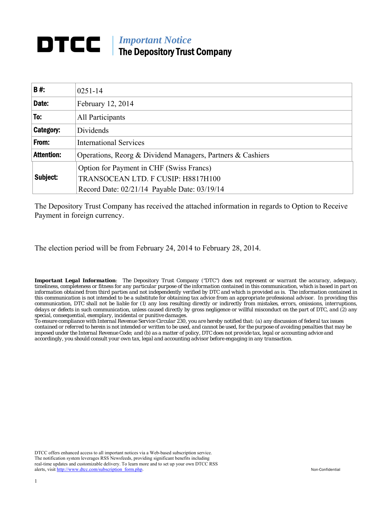# *Important Notice*  The Depository Trust Company

| <b>B#:</b>        | $0251 - 14$                                                |
|-------------------|------------------------------------------------------------|
| Date:             | February 12, 2014                                          |
| To:               | All Participants                                           |
| Category:         | Dividends                                                  |
| From:             | <b>International Services</b>                              |
| <b>Attention:</b> | Operations, Reorg & Dividend Managers, Partners & Cashiers |
|                   | Option for Payment in CHF (Swiss Francs)                   |
| Subject:          | TRANSOCEAN LTD. F CUSIP: H8817H100                         |
|                   | Record Date: 02/21/14 Payable Date: 03/19/14               |

The Depository Trust Company has received the attached information in regards to Option to Receive Payment in foreign currency.

The election period will be from February 24, 2014 to February 28, 2014.

*Important Legal Information: The Depository Trust Company ("DTC") does not represent or warrant the accuracy, adequacy, timeliness, completeness or fitness for any particular purpose of the information contained in this communication, which is based in part on information obtained from third parties and not independently verified by DTC and which is provided as is. The information contained in this communication is not intended to be a substitute for obtaining tax advice from an appropriate professional advisor. In providing this communication, DTC shall not be liable for (1) any loss resulting directly or indirectly from mistakes, errors, omissions, interruptions, delays or defects in such communication, unless caused directly by gross negligence or willful misconduct on the part of DTC, and (2) any special, consequential, exemplary, incidental or punitive damages.* 

*To ensure compliance with Internal Revenue Service Circular 230, you are hereby notified that: (a) any discussion of federal tax issues contained or referred to herein is not intended or written to be used, and cannot be used, for the purpose of avoiding penalties that may be imposed under the Internal Revenue Code; and (b) as a matter of policy, DTC does not provide tax, legal or accounting advice and accordingly, you should consult your own tax, legal and accounting advisor before engaging in any transaction.*

DTCC offers enhanced access to all important notices via a Web-based subscription service. The notification system leverages RSS Newsfeeds, providing significant benefits including real-time updates and customizable delivery. To learn more and to set up your own DTCC RSS alerts, visit http://www.dtcc.com/subscription\_form.php. Non-Confidential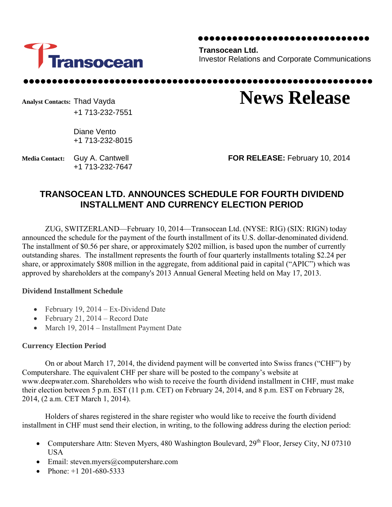

**Transocean Ltd.**  Investor Relations and Corporate Communications

Analyst Contacts: Thad Vayda **News Release** +1 713-232-7551

> Diane Vento +1 713-232-8015

+1 713-232-7647

**Media Contact:** Guy A. Cantwell **FOR RELEASE:** February 10, 2014

## **TRANSOCEAN LTD. ANNOUNCES SCHEDULE FOR FOURTH DIVIDEND INSTALLMENT AND CURRENCY ELECTION PERIOD**

ZUG, SWITZERLAND—February 10, 2014—Transocean Ltd. (NYSE: RIG) (SIX: RIGN) today announced the schedule for the payment of the fourth installment of its U.S. dollar-denominated dividend. The installment of \$0.56 per share, or approximately \$202 million, is based upon the number of currently outstanding shares. The installment represents the fourth of four quarterly installments totaling \$2.24 per share, or approximately \$808 million in the aggregate, from additional paid in capital ("APIC") which was approved by shareholders at the company's 2013 Annual General Meeting held on May 17, 2013.

#### **Dividend Installment Schedule**

- February 19,  $2014 Ex-Dividend$  Date
- February 21, 2014 Record Date
- March 19, 2014 Installment Payment Date

## **Currency Election Period**

On or about March 17, 2014, the dividend payment will be converted into Swiss francs ("CHF") by Computershare. The equivalent CHF per share will be posted to the company's website at www.deepwater.com. Shareholders who wish to receive the fourth dividend installment in CHF, must make their election between 5 p.m. EST (11 p.m. CET) on February 24, 2014, and 8 p.m. EST on February 28, 2014, (2 a.m. CET March 1, 2014).

Holders of shares registered in the share register who would like to receive the fourth dividend installment in CHF must send their election, in writing, to the following address during the election period:

- Computershare Attn: Steven Myers, 480 Washington Boulevard, 29<sup>th</sup> Floor, Jersey City, NJ 07310 USA
- Email: steven.myers@computershare.com
- Phone:  $+1$  201-680-5333